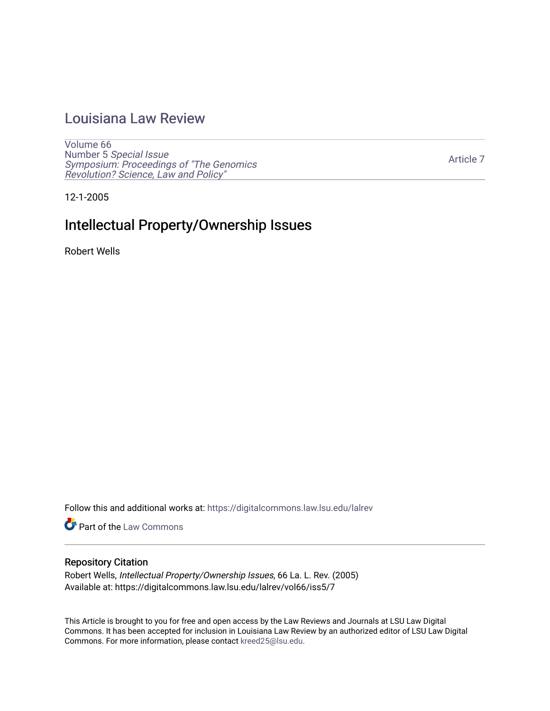## [Louisiana Law Review](https://digitalcommons.law.lsu.edu/lalrev)

[Volume 66](https://digitalcommons.law.lsu.edu/lalrev/vol66) Number 5 [Special Issue](https://digitalcommons.law.lsu.edu/lalrev/vol66/iss5) [Symposium: Proceedings of "The Genomics](https://digitalcommons.law.lsu.edu/lalrev/vol66/iss5)  [Revolution? Science, Law and Policy"](https://digitalcommons.law.lsu.edu/lalrev/vol66/iss5) 

[Article 7](https://digitalcommons.law.lsu.edu/lalrev/vol66/iss5/7) 

12-1-2005

# Intellectual Property/Ownership Issues

Robert Wells

Follow this and additional works at: [https://digitalcommons.law.lsu.edu/lalrev](https://digitalcommons.law.lsu.edu/lalrev?utm_source=digitalcommons.law.lsu.edu%2Flalrev%2Fvol66%2Fiss5%2F7&utm_medium=PDF&utm_campaign=PDFCoverPages)

Part of the [Law Commons](https://network.bepress.com/hgg/discipline/578?utm_source=digitalcommons.law.lsu.edu%2Flalrev%2Fvol66%2Fiss5%2F7&utm_medium=PDF&utm_campaign=PDFCoverPages)

#### Repository Citation

Robert Wells, Intellectual Property/Ownership Issues, 66 La. L. Rev. (2005) Available at: https://digitalcommons.law.lsu.edu/lalrev/vol66/iss5/7

This Article is brought to you for free and open access by the Law Reviews and Journals at LSU Law Digital Commons. It has been accepted for inclusion in Louisiana Law Review by an authorized editor of LSU Law Digital Commons. For more information, please contact [kreed25@lsu.edu](mailto:kreed25@lsu.edu).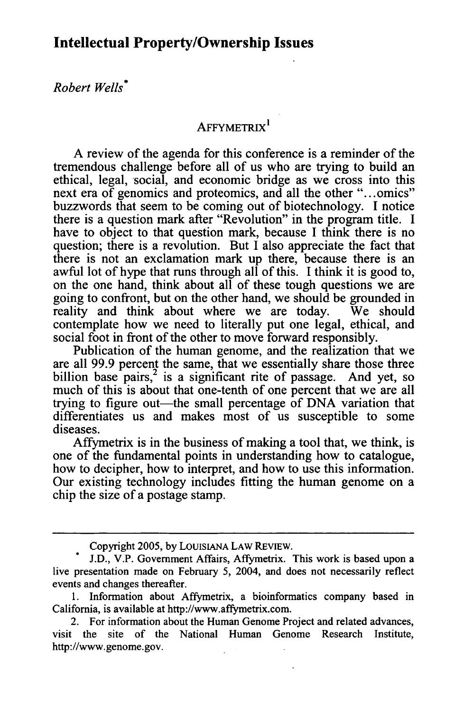### **Intellectual Property/Ownership Issues**

#### *Robert Wells\**

### AFFYMETRIX'

A review of the agenda for this conference is a reminder of the tremendous challenge before all of us who are trying to build an ethical, legal, social, and economic bridge as we cross into this next era of genomics and proteomics, and all the other "...omics" buzzwords that seem to be coming out of biotechnology. I notice there is a question mark after "Revolution" in the program title. I have to object to that question mark, because I think there is no question; there is a revolution. But I also appreciate the fact that there is not an exclamation mark up there, because there is an awful lot of hype that runs through all of this. I think it is good to, on the one hand, think about all of these tough questions we are going to confront, but on the other hand, we should be grounded in reality and think about where we are today. We should contemplate how we need to literally put one legal, ethical, and social foot in front of the other to move forward responsibly.

Publication of the human genome, and the realization that we are all 99.9 percent the same, that we essentially share those three billion base pairs, $^2$  is a significant rite of passage. And yet, so much of this is about that one-tenth of one percent that we are all trying to figure out—the small percentage of DNA variation that differentiates us and makes most of us susceptible to some diseases.

Affymetrix is in the business of making a tool that, we think, is one of the fundamental points in understanding how to catalogue, how to decipher, how to interpret, and how to use this information. Our existing technology includes fitting the human genome on a chip the size of a postage stamp.

Copyright 2005, by LOuIsIANA LAW REVIEW.

J.D., V.P. Government Affairs, Affymetrix. This work is based upon a live presentation made on February 5, 2004, and does not necessarily reflect events and changes thereafter.

<sup>1.</sup> Information about Affymetrix, a bioinformatics company based in California, is available at [http://www.affymetrix.com.](http://www.affymetrix.com)

<sup>2.</sup> For information about the Human Genome Project and related advances, visit the site of the National Human Genome Research Institute, <http://www.genome.gov>.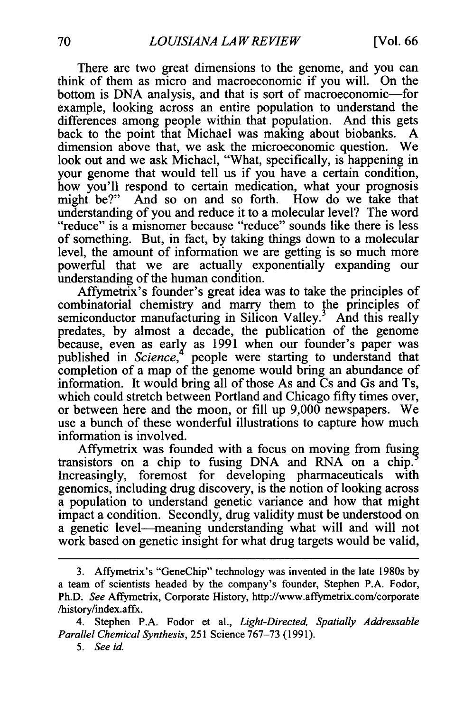There are two great dimensions to the genome, and you can think of them as micro and macroeconomic if you will. On the bottom is DNA analysis, and that is sort of macroeconomic-for example, looking across an entire population to understand the differences among people within that population. And this gets back to the point that Michael was making about biobanks. A dimension above that, we ask the microeconomic question. We look out and we ask Michael, "What, specifically, is happening in your genome that would tell us if you have a certain condition, how you'll respond to certain medication, what your prognosis might be?" And so on and so forth. How do we take that understanding of you and reduce it to a molecular level? The word "reduce" is a misnomer because "reduce" sounds like there is less of something. But, in fact, by taking things down to a molecular level, the amount of information we are getting is so much more powerful that we are actually exponentially expanding our understanding of the human condition.

Affymetrix's founder's great idea was to take the principles of combinatorial chemistry and marry them to the principles of semiconductor manufacturing in Silicon Valley.<sup>3</sup> And this really predates, by almost a decade, the publication of the genome because, even as early as 1991 when our founder's paper was published in *Science*,<sup>4</sup> people were starting to understand that completion of a map of the genome would bring an abundance of information. It would bring all of those As and Cs and Gs and Ts, which could stretch between Portland and Chicago fifty times over, or between here and the moon, or fill up 9,000 newspapers. We use a bunch of these wonderful illustrations to capture how much information is involved.

Affymetrix was founded with a focus on moving from fusing transistors on a chip to fusing DNA and RNA on a chip. Increasingly, foremost for developing pharmaceuticals with genomics, including drug discovery, is the notion of looking across a population to understand genetic variance and how that might impact a condition. Secondly, drug validity must be understood on a genetic level-meaning understanding what will and will not work based on genetic insight for what drug targets would be valid,

<sup>3.</sup> Affymetrix's "GeneChip" technology was invented in the late 1980s by a team of scientists headed by the company's founder, Stephen P.A. Fodor, Ph.D. *See* Affymetrix, Corporate History, <http://www.affymetrix.com/corporate> /history/index.affx.

<sup>4.</sup> Stephen P.A. Fodor et al., *Light-Directed, Spatially Addressable ParallelChemical Synthesis,* 251 Science 767-73 (1991).

*<sup>5.</sup> See id*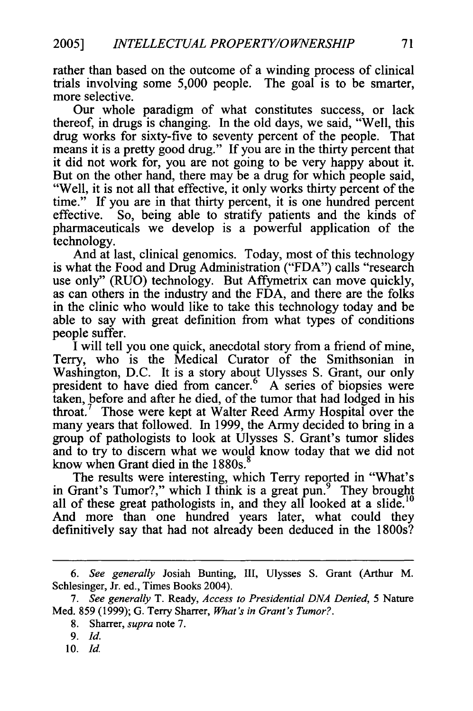rather than based on the outcome of a winding process of clinical trials involving some 5,000 people. The goal is to be smarter, more selective.

Our whole paradigm of what constitutes success, or lack thereof, in drugs is changing. In the old days, we said, "Well, this drug works for sixty-five to seventy percent of the people. That means it is a pretty good drug." If you are in the thirty percent that it did not work for, you are not going to be very happy about it. But on the other hand, there may be a drug for which people said, "Well, it is not all that effective, it only works thirty percent of the time." If you are in that thirty percent, it is one hundred percent effective. So, being able to stratify patients and the kinds of pharmaceuticals we develop is a powerful application of the technology.

And at last, clinical genomics. Today, most of this technology is what the Food and Drug Administration ("FDA") calls "research use only" (RUO) technology. But Affymetrix can move quickly, as can others in the industry and the FDA, and there are the folks in the clinic who would like to take this technology today and be able to say with great definition from what types of conditions people suffer.

I will tell you one quick, anecdotal story from a friend of mine, Terry, who is the Medical Curator of the Smithsonian in Washington, D.C. It is a story about Ulysses S. Grant, our only president to have died from cancer.<sup>6</sup> A series of biopsies were taken, before and after he died, of the tumor that had lodged in his throat.7 Those were kept at Walter Reed Army Hospital over the many years that followed. In 1999, the Army decided to bring in a group of pathologists to look at Ulysses S. Grant's tumor slides and to try to discern what we would know today that we did not know when Grant died in the 1880s.

The results were interesting, which Terry reported in "What's in Grant's Tumor?," which I think is a great pun.<sup>9</sup> They brought all of these great pathologists in, and they all looked at a [slide.](https://slide.10) And more than one hundred years later, what could they definitively say that had not already been deduced in the 1800s?

10. Id.

*<sup>6.</sup> See generally* Josiah Bunting, III, Ulysses S. Grant (Arthur M. Schlesinger, Jr. ed., Times Books 2004).

*<sup>7.</sup> See generally* T. Ready, *Access to PresidentialDNA Denied,5* Nature Med. 859 (1999); G. Terry Sharrer, *What's in Grant'sTumor?.* 

<sup>8.</sup> Sharrer, *supra*note 7.

*<sup>9.</sup> Id.*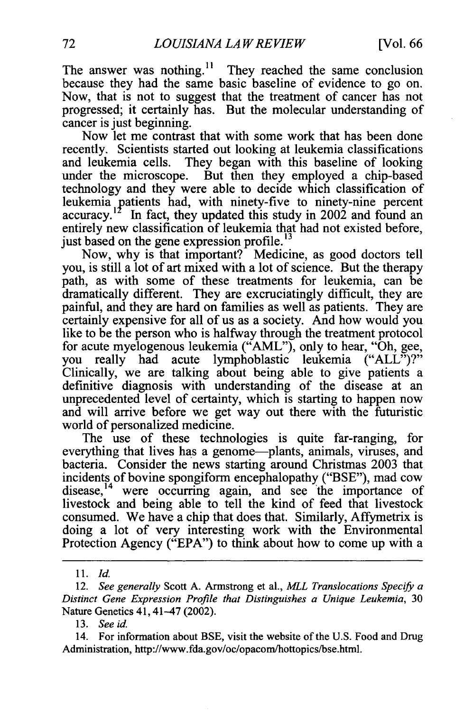The answer was nothing.<sup>11</sup> They reached the same conclusion because they had the same basic baseline of evidence to go on. Now, that is not to suggest that the treatment of cancer has not progressed; it certainly has. But the molecular understanding of cancer is just beginning.

Now let me contrast that with some work that has been done recently. Scientists started out looking at leukemia classifications and leukemia cells. They began with this baseline of looking under the microscope. But then they employed a chip-based technology and they were able to decide which classification of leukemia patients had, with ninety-five to ninety-nine percent  $\alpha$  accuracy.<sup>12</sup> In fact, they updated this study in 2002 and found an entirely new classification of leukemia that had not existed before, just based on the gene expression profile. $^{13}$ 

Now, why is that important? Medicine, as good doctors tell you, is still a lot of art mixed with a lot of science. But the therapy path, as with some of these treatments for leukemia, can be dramatically different. They are excruciatingly difficult, they are painful, and they are hard on families as well as patients. They are certainly expensive for all of us as a society. And how would you like to be the person who is halfway through the treatment protocol for acute myelogenous leukemia ("AML"), only to hear, "Oh, gee, you really had acute lymphoblastic leukemia ("ALL")?" Clinically, we are talking about being able to give patients a definitive diagnosis with understanding of the disease at an unprecedented level of certainty, which is starting to happen now and will arrive before we get way out there with the futuristic world of personalized medicine.

The use of these technologies is quite far-ranging, for everything that lives has a genome-plants, animals, viruses, and bacteria. Consider the news starting around Christmas 2003 that incidents of bovine spongiform encephalopathy ("BSE"), mad cow disease,<sup>14</sup> were occurring again, and see the importance of livestock and being able to tell the kind of feed that livestock consumed. We have a chip that does that. Similarly, Affymetrix is doing a lot of very interesting work with the Environmental Protection Agency ("EPA") to think about how to come up with a

13. *Seeid.* 

14. For information about BSE, visit the website of the U.S. Food and Drug Administration, <http://www.fda.gov/oc/opacom/hottopics/bse.html>.

<sup>11.</sup> *Id.* 

<sup>12.</sup> *See generally* Scott A. Armstrong et al., *MLL Translocations Specify a Distinct Gene Expression Profile that Distinguishes a Unique Leukemia,* 30 Nature Genetics 41,41-47 (2002).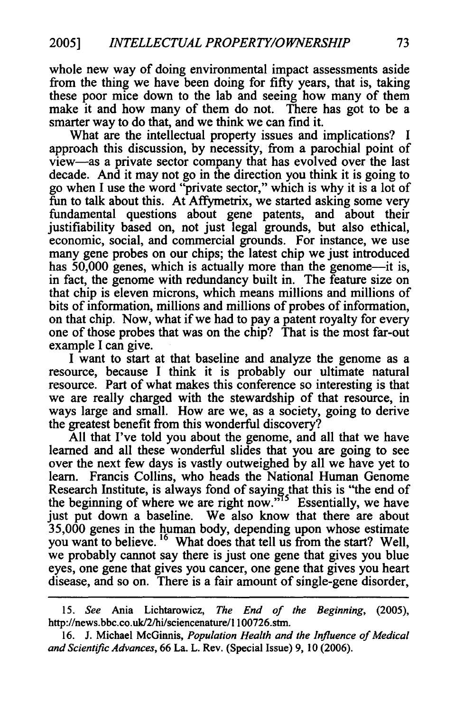whole new way of doing environmental impact assessments aside from the thing we have been doing for **fifty** years, that is, taking these poor mice down to the lab and seeing how many of them make it and how many of them do not. There has got to be a smarter way to do that, and we think we can find it.

What are the intellectual property issues and implications? I approach this discussion, by necessity, from a parochial point of view-as a private sector company that has evolved over the last decade. And it may not go in the direction you think it is going to go when I use the word "private sector," which is why it is a lot of fun to talk about this. At Affymetrix, we started asking some very fundamental questions about gene patents, and about their justifiability based on, not just legal grounds, but also ethical, economic, social, and commercial grounds. For instance, we use many gene probes on our chips; the latest chip we just introduced has 50,000 genes, which is actually more than the genome—it is, in fact, the genome with redundancy built in. The feature size on that chip is eleven microns, which means millions and millions of bits of information, millions and millions of probes of information, on that chip. Now, what if we had to pay a patent royalty for every one of those probes that was on the chip? That is the most far-out example I can give.

I want to start at that baseline and analyze the genome as a resource, because I think it is probably our ultimate natural resource. Part of what makes this conference so interesting is that we are really charged with the stewardship of that resource, in ways large and small. How are we, as a society, going to derive the greatest benefit from this wonderful discovery?

All that I've told you about the genome, and all that we have learned and all these wonderful slides that you are going to see over the next few days is vastly outweighed by all we have yet to learn. Francis Collins, who heads the National Human Genome Research Institute, is always fond of saying that this is "the end of the beginning of where we are right now."<sup>15</sup> Essentially, we have just put down a baseline. We also know that there are about 35,000 genes in the human body, depending upon whose estimate you want to believe. **16** What does that tell us from the start? Well, we probably cannot say there is just one gene that gives you blue eyes, one gene that gives you cancer, one gene that gives you heart disease, and so on. There is a fair amount of single-gene disorder,

<sup>15.</sup> *See* Ania Lichtarowicz, *The End of the Beginning, (2005),*  <http://news.bbc.co.uk/2/hi/sciencenature/1>100726.stm.

<sup>16.</sup> J. Michael McGinnis, Population Health and the Influence of Medical and Scientific Advances, 66 La. L. Rev. (Special Issue) 9, 10 (2006).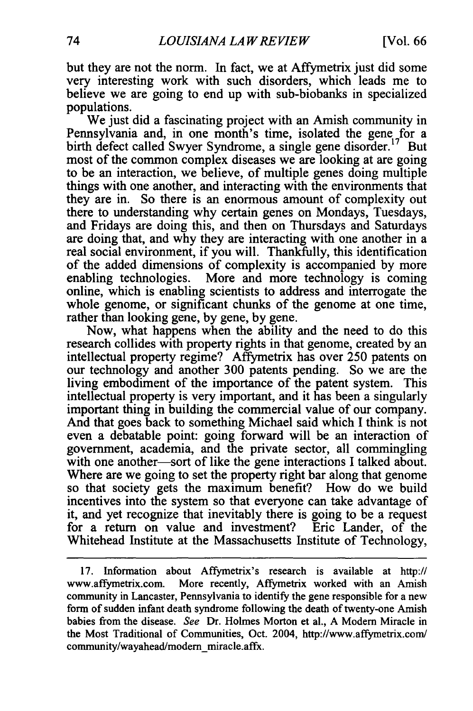but they are not the norm. In fact, we at Affymetrix just did some very interesting work with such disorders, which leads me to believe we are going to end up with sub-biobanks in specialized populations.

We just did a fascinating project with an Amish community in Pennsylvania and, in one month's time, isolated the gene for a birth defect called Swyer Syndrome, a single gene disorder.<sup>17</sup> But most of the common complex diseases we are looking at are going to be an interaction, we believe, of multiple genes doing multiple things with one another, and interacting with the environments that they are in. So there is an enormous amount of complexity out there to understanding why certain genes on Mondays, Tuesdays, and Fridays are doing this, and then on Thursdays and Saturdays are doing that, and why they are interacting with one another in a real social environment, if you will. Thankfully, this identification of the added dimensions of complexity is accompanied by more enabling technologies. More and more technology is coming online, which is enabling scientists to address and interrogate the whole genome, or significant chunks of the genome at one time, rather than looking gene, by gene, by gene.

Now, what happens when the ability and the need to do this research collides with property rights in that genome, created by an intellectual property regime? Affymetrix has over 250 patents on our technology and another 300 patents pending. So we are the living embodiment of the importance of the patent system. This intellectual property is very important, and it has been a singularly important thing in building the commercial value of our company. And that goes back to something Michael said which I think is not even a debatable point: going forward will be an interaction of government, academia, and the private sector, all commingling with one another—sort of like the gene interactions I talked about. Where are we going to set the property right bar along that genome so that society gets the maximum benefit? How do we build incentives into the system so that everyone can take advantage of it, and yet recognize that inevitably there is going to be a request for a return on value and investment? Eric Lander, of the Whitehead Institute at the Massachusetts Institute of Technology,

<sup>17.</sup> Information about Affymetrix's research is available at http:// <www.affymetrix.com>. More recently, Affymetrix worked with an Amish community in Lancaster, Pennsylvania to identify the gene responsible for a new form of sudden infant death syndrome following the death of twenty-one Amish babies from the disease. See Dr. Holmes Morton et al., A Modem Miracle in the Most Traditional of Communities, Oct. 2004, [http://www.affymetrix.com/](http://www.affymetrix.com) community/wayahead/modern miracle.affx.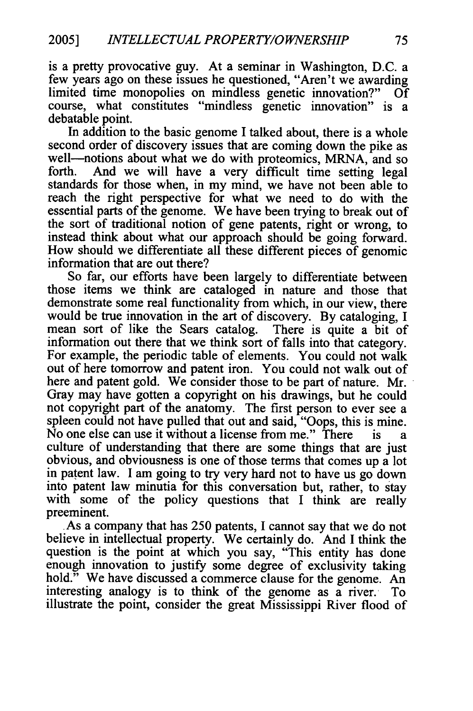is a pretty provocative guy. At a seminar in Washington, D.C. a few years ago on these issues he questioned, "Aren't we awarding limited time monopolies on mindless genetic innovation?" Of course, what constitutes "mindless genetic innovation" is a debatable point.

In addition to the basic genome I talked about, there is a whole second order of discovery issues that are coming down the pike as well-notions about what we do with proteomics, MRNA, and so forth. And we will have a very difficult time setting legal standards for those when, in my mind, we have not been able to reach the right perspective for what we need to do with the essential parts of the genome. We have been trying to break out of the sort of traditional notion of gene patents, right or wrong, to instead think about what our approach should be going forward. How should we differentiate all these different pieces of genomic information that are out there?

So far, our efforts have been largely to differentiate between those items we think are cataloged in nature and those that demonstrate some real functionality from which, in our view, there would be true innovation in the art of discovery. By cataloging, I mean sort of like the Sears catalog. There is quite a bit of information out there that we think sort of falls into that category. For example, the periodic table of elements. You could not walk out of here tomorrow and patent iron. You could not walk out of here and patent gold. We consider those to be part of nature. Mr. Gray may have gotten a copyright on his drawings, but he could not copyright part of the anatomy. The first person to ever see a spleen could not have pulled that out and said, "Oops, this is mine. No one else can use it without a license from me." There is a culture of understanding that there are some things that are just obvious, and obviousness is one of those terms that comes up a lot in patent law. I am going to try very hard not to have us go down into patent law minutia for this conversation but, rather, to stay with some of the policy questions that I think are really preeminent.

.As a company that has 250 patents, I cannot say that we do not believe in intellectual property. We certainly do. And I think the question is the point at which you say, "This entity has done enough innovation to justify some degree of exclusivity taking hold." We have discussed a commerce clause for the genome. An interesting analogy is to think of the genome as a river. To illustrate the point, consider the great Mississippi River flood of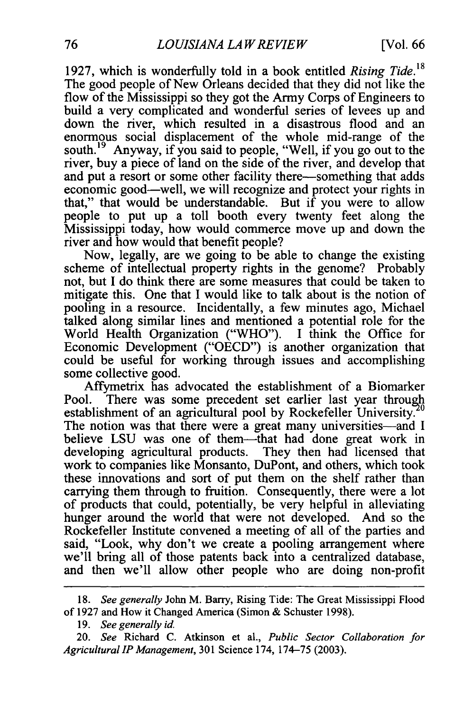1927, which is wonderfully told in a book entitled *Rising Tide*.<sup>18</sup> The good people of New Orleans decided that they did not like the flow of the Mississippi so they got the Army Corps of Engineers to build a very complicated and wonderful series of levees up and down the river, which resulted in a disastrous flood and an enormous social displacement of the whole mid-range of the south.<sup>19</sup> Anyway, if you said to people, "Well, if you go out to the river, buy a piece of land on the side of the river, and develop that and put a resort or some other facility there-something that adds economic good—well, we will recognize and protect your rights in that," that would be understandable. But if you were to allow people to put up a toll booth every twenty feet along the Mississippi today, how would commerce move up and down the river and how would that benefit people?

Now, legally, are we going to be able to change the existing scheme of intellectual property rights in the genome? Probably not, but I do think there are some measures that could be taken to mitigate this. One that I would like to talk about is the notion of pooling in a resource. Incidentally, a few minutes ago, Michael talked along similar lines and mentioned a potential role for the World Health Organization ("WHO"). I think the Office for Economic Development ("OECD") is another organization that could be useful for working through issues and accomplishing some collective good.

Affymetrix has advocated the establishment of a Biomarker Pool. There was some precedent set earlier last year throuph establishment of an agricultural pool by Rockefeller University.<sup>2</sup> The notion was that there were a great many universities-and I believe LSU was one of them—that had done great work in developing agricultural products. They then had licensed that work to companies like Monsanto, DuPont, and others, which took these innovations and sort of put them on the shelf rather than carrying them through to fruition. Consequently, there were a lot of products that could, potentially, be very helpful in alleviating hunger around the world that were not developed. And so the Rockefeller Institute convened a meeting of all of the parties and said, "Look, why don't we create a pooling arrangement where we'll bring all of those patents back into a centralized database, and then we'll allow other people who are doing non-profit

- *19. See generally* id.
- 20. See Richard C. Atkinson et al., Public Sector Collaboration for *AgriculturalIP Management,*301 Science 174, 174-75 (2003).

<sup>18.</sup> *See generally* John M. Barry, Rising Tide: The Great Mississippi Flood of 1927 and How it Changed America (Simon & Schuster 1998).